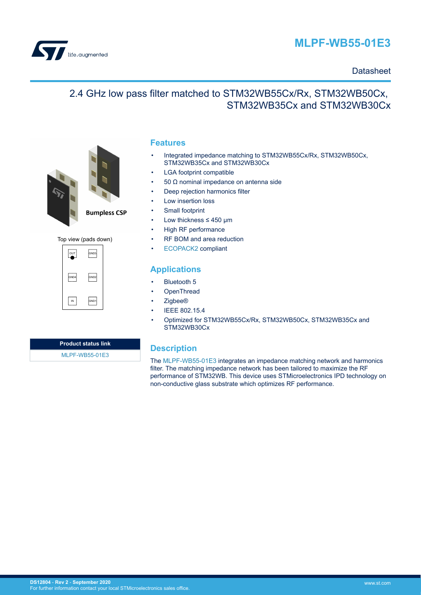

# **MLPF-WB55-01E3**

#### **Datasheet**

## 2.4 GHz low pass filter matched to STM32WB55Cx/Rx, STM32WB50Cx, STM32WB35Cx and STM32WB30Cx



Top view (pads down)

| $\sim$ | GND3 |
|--------|------|
| GND4   | GND2 |
| IN     | GND1 |

#### **Features**

- Integrated impedance matching to STM32WB55Cx/Rx, STM32WB50Cx, STM32WB35Cx and STM32WB30Cx
- LGA footprint compatible
- 50  $Ω$  nominal impedance on antenna side
- Deep rejection harmonics filter
- Low insertion loss
- Small footprint
- Low thickness  $\leq 450$  µm
- High RF performance
- RF BOM and area reduction
- [ECOPACK2](https://www.st.com/ecopack) compliant

### **Applications**

- Bluetooth 5
- **OpenThread**
- Zigbee®
- IEEE 802.15.4
- Optimized for STM32WB55Cx/Rx, STM32WB50Cx, STM32WB35Cx and STM32WB30Cx

**Product status link** [MLPF-WB55-01E3](https://www.st.com/en/product/mlpf-wb55-01e3?ecmp=tt9470_gl_link_feb2019&rt=ds&id=DS12804)

### **Description**

The [MLPF-WB55-01E3](https://www.st.com/en/product/mlpf-wb55-01e3?ecmp=tt9470_gl_link_feb2019&rt=ds&id=DS12804) integrates an impedance matching network and harmonics filter. The matching impedance network has been tailored to maximize the RF performance of STM32WB. This device uses STMicroelectronics IPD technology on non-conductive glass substrate which optimizes RF performance.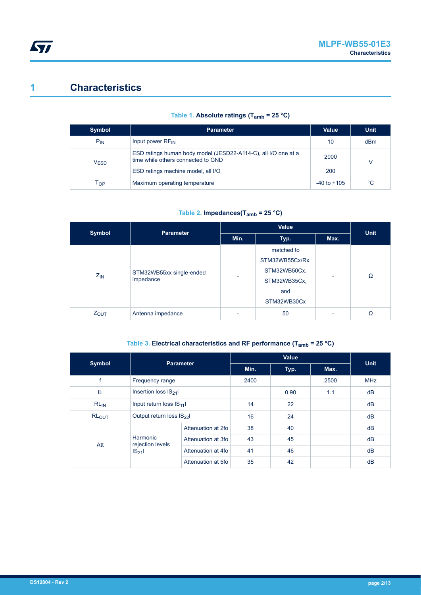# **1 Characteristics**

|  |  | Table 1. Absolute ratings ( $T_{amb}$ = 25 °C) |  |  |  |  |
|--|--|------------------------------------------------|--|--|--|--|
|--|--|------------------------------------------------|--|--|--|--|

| Symbol           | <b>Parameter</b>                                                                                     | Value           | <b>Unit</b> |
|------------------|------------------------------------------------------------------------------------------------------|-----------------|-------------|
| $P_{IN}$         | Input power RF <sub>IN</sub>                                                                         | 10              | dBm         |
| V <sub>ESD</sub> | ESD ratings human body model (JESD22-A114-C), all I/O one at a<br>time while others connected to GND | 2000<br>V       |             |
|                  | ESD ratings machine model, all I/O                                                                   | 200             |             |
| Тор              | Maximum operating temperature                                                                        | $-40$ to $+105$ | °C          |

#### **Table 2. Impedances(Tamb = 25 °C)**

| Symbol                               | <b>Parameter</b>  |                 | <b>Unit</b>  |                          |   |
|--------------------------------------|-------------------|-----------------|--------------|--------------------------|---|
|                                      |                   | Min.            | Typ.         | Max.                     |   |
|                                      |                   |                 | matched to   |                          |   |
| STM32WB55xx single-ended<br>$Z_{IN}$ |                   | STM32WB55Cx/Rx, |              |                          |   |
|                                      |                   |                 | STM32WB50Cx, | -                        | Ω |
|                                      | impedance         |                 | STM32WB35Cx, |                          |   |
|                                      |                   |                 | and          |                          |   |
|                                      |                   |                 | STM32WB30Cx  |                          |   |
| <b>ZOUT</b>                          | Antenna impedance |                 | 50           | $\overline{\phantom{0}}$ | Ω |

#### **Table 3. Electrical characteristics and RF performance (Tamb = 25 °C)**

| Symbol                                           | <b>Parameter</b>                    |                    |      | Value |      | <b>Unit</b> |
|--------------------------------------------------|-------------------------------------|--------------------|------|-------|------|-------------|
|                                                  |                                     |                    | Min. | Typ.  | Max. |             |
|                                                  | Frequency range                     |                    | 2400 |       | 2500 | <b>MHz</b>  |
| IL                                               | Insertion loss IS <sub>21</sub> I   |                    |      | 0.90  | 1.1  | dB          |
| $RL_{IN}$                                        | Input return loss $ S_{11} $        |                    | 14   | 22    |      | dB          |
| RL <sub>OUT</sub>                                | Output return loss IS <sub>22</sub> |                    | 16   | 24    |      | dB          |
|                                                  |                                     | Attenuation at 2fo | 38   | 40    |      | dB          |
| Harmonic<br>rejection levels<br>Att<br>$IS_{21}$ | Attenuation at 3fo                  | 43                 | 45   |       | dB   |             |
|                                                  | Attenuation at 4fo                  | 41                 | 46   |       | dB   |             |
|                                                  | Attenuation at 5fo                  | 35                 | 42   |       | dB   |             |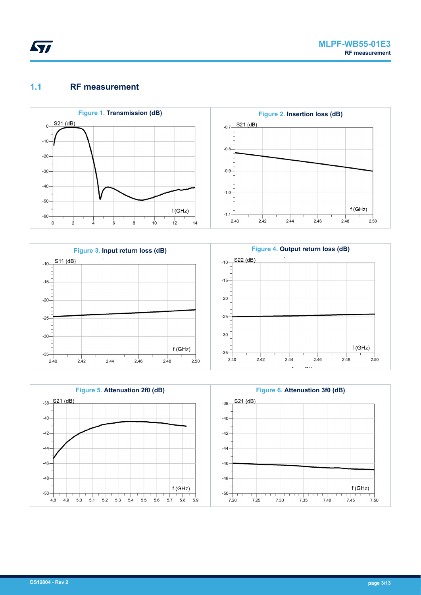

### **1.1 RF measurement**







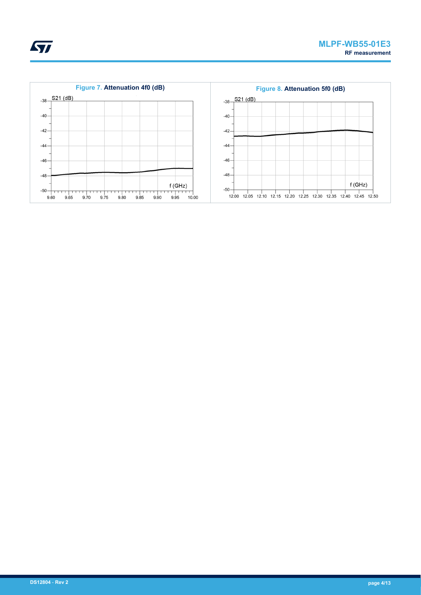

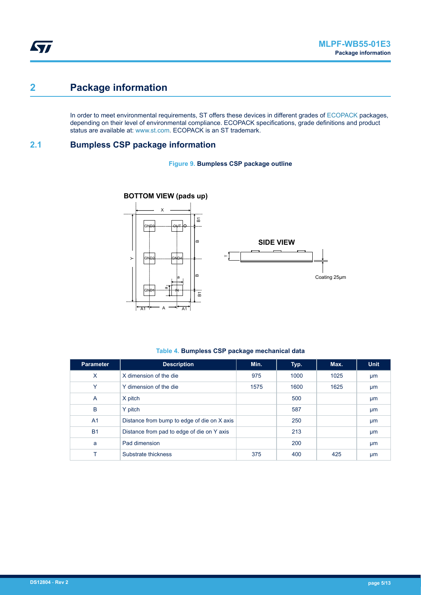## **2 Package information**

In order to meet environmental requirements, ST offers these devices in different grades of [ECOPACK](https://www.st.com/ecopack) packages, depending on their level of environmental compliance. ECOPACK specifications, grade definitions and product status are available at: [www.st.com.](http://www.st.com) ECOPACK is an ST trademark.

#### **2.1 Bumpless CSP package information**

#### **Figure 9. Bumpless CSP package outline**



#### **Table 4. Bumpless CSP package mechanical data**

| <b>Parameter</b> | <b>Description</b>                          | Min. | Typ. | Max. | <b>Unit</b> |
|------------------|---------------------------------------------|------|------|------|-------------|
| X                | X dimension of the die                      | 975  | 1000 | 1025 | µm          |
| Y                | Y dimension of the die                      | 1575 | 1600 | 1625 | µm          |
| $\overline{A}$   | X pitch                                     |      | 500  |      | µm          |
| B                | Y pitch                                     |      | 587  |      | μm          |
| A <sub>1</sub>   | Distance from bump to edge of die on X axis |      | 250  |      | µm          |
| <b>B1</b>        | Distance from pad to edge of die on Y axis  |      | 213  |      | µm          |
| a                | Pad dimension                               |      | 200  |      | µm          |
|                  | Substrate thickness                         | 375  | 400  | 425  | μm          |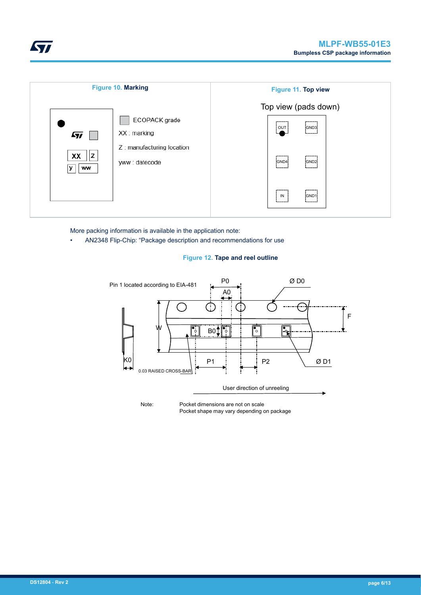





More packing information is available in the application note:

• AN2348 Flip-Chip: "Package description and recommendations for use

#### **Figure 12. Tape and reel outline**



Note: Pocket dimensions are not on scale Pocket shape may vary depending on package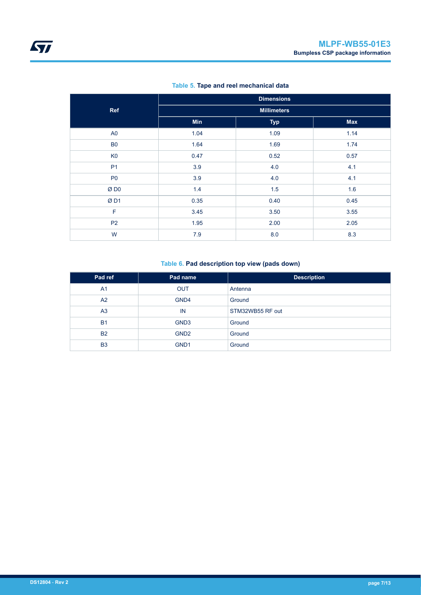|                 | <b>Dimensions</b>  |            |            |  |  |  |
|-----------------|--------------------|------------|------------|--|--|--|
| Ref             | <b>Millimeters</b> |            |            |  |  |  |
|                 | <b>Min</b>         | <b>Typ</b> | <b>Max</b> |  |  |  |
| A <sub>0</sub>  | 1.04               | 1.09       | 1.14       |  |  |  |
| <b>B0</b>       | 1.64               | 1.69       | 1.74       |  |  |  |
| K <sub>0</sub>  | 0.47               | 0.52       | 0.57       |  |  |  |
| <b>P1</b>       | 3.9                | 4.0        | 4.1        |  |  |  |
| P <sub>0</sub>  | 3.9                | 4.0        | 4.1        |  |  |  |
| ØD <sub>0</sub> | 1.4                | 1.5        | 1.6        |  |  |  |
| ØD1             | 0.35               | 0.40       | 0.45       |  |  |  |
| F               | 3.45               | 3.50       | 3.55       |  |  |  |
| P <sub>2</sub>  | 1.95               | 2.00       | 2.05       |  |  |  |
| W               | 7.9                | 8.0        | 8.3        |  |  |  |

#### **Table 5. Tape and reel mechanical data**

#### **Table 6. Pad description top view (pads down)**

| Pad ref        | Pad name         | <b>Description</b> |  |
|----------------|------------------|--------------------|--|
| A <sub>1</sub> | <b>OUT</b>       | Antenna            |  |
| A2             | GND4             | Ground             |  |
| A <sub>3</sub> | IN               | STM32WB55 RF out   |  |
| <b>B1</b>      | GND <sub>3</sub> | Ground             |  |
| <b>B2</b>      | GND <sub>2</sub> | Ground             |  |
| B <sub>3</sub> | GND <sub>1</sub> | Ground             |  |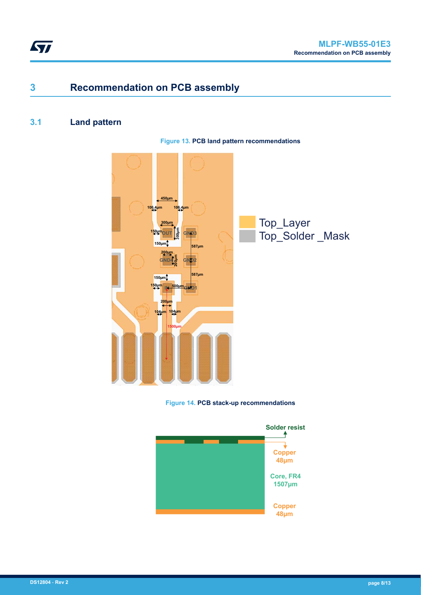

## **3 Recommendation on PCB assembly**

## **3.1 Land pattern**





**Figure 14. PCB stack-up recommendations**

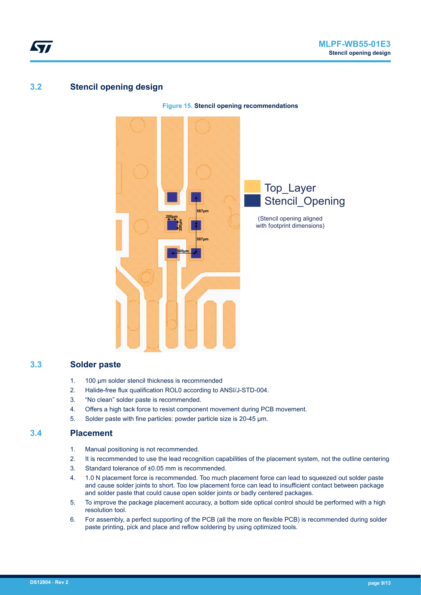## **3.2 Stencil opening design**

57



#### **3.3 Solder paste**

- 1. 100 µm solder stencil thickness is recommended
- 2. Halide-free flux qualification ROL0 according to ANSI/J-STD-004.
- 3. "No clean" solder paste is recommended.
- 4. Offers a high tack force to resist component movement during PCB movement.
- 5. Solder paste with fine particles: powder particle size is 20-45 μm.

#### **3.4 Placement**

- 1. Manual positioning is not recommended.
- 2. It is recommended to use the lead recognition capabilities of the placement system, not the outline centering
- 3. Standard tolerance of ±0.05 mm is recommended.
- 4. 1.0 N placement force is recommended. Too much placement force can lead to squeezed out solder paste and cause solder joints to short. Too low placement force can lead to insufficient contact between package and solder paste that could cause open solder joints or badly centered packages.
- 5. To improve the package placement accuracy, a bottom side optical control should be performed with a high resolution tool.
- 6. For assembly, a perfect supporting of the PCB (all the more on flexible PCB) is recommended during solder paste printing, pick and place and reflow soldering by using optimized tools.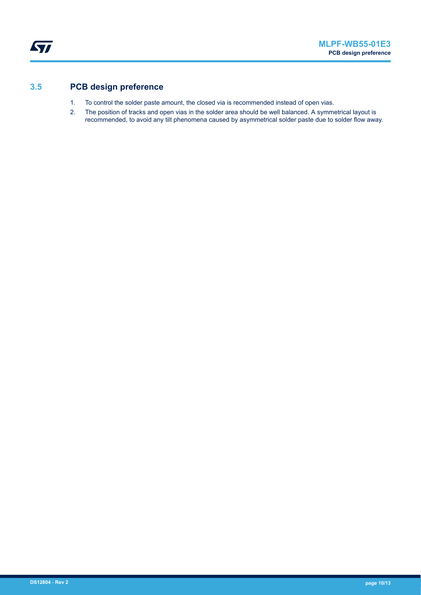## **3.5 PCB design preference**

- 1. To control the solder paste amount, the closed via is recommended instead of open vias.
- 2. The position of tracks and open vias in the solder area should be well balanced. A symmetrical layout is recommended, to avoid any tilt phenomena caused by asymmetrical solder paste due to solder flow away.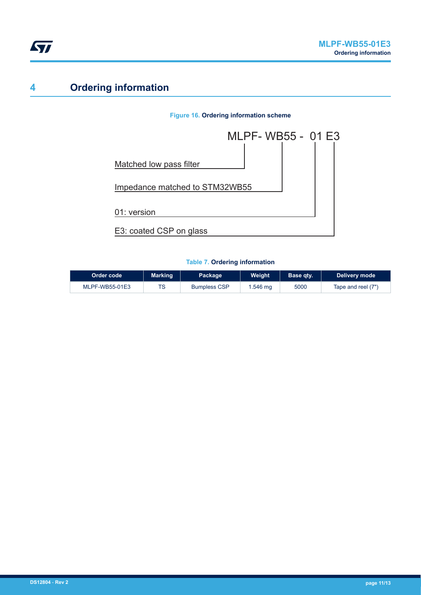

# **4 Ordering information**

#### **Figure 16. Ordering information scheme**



#### **Table 7. Ordering information**

| Order code     | <b>Marking</b> | Package             | Weight   | Base qty. | Delivery mode      |
|----------------|----------------|---------------------|----------|-----------|--------------------|
| MLPF-WB55-01E3 | TS             | <b>Bumpless CSP</b> | i 546 mg | 5000      | Tape and reel (7") |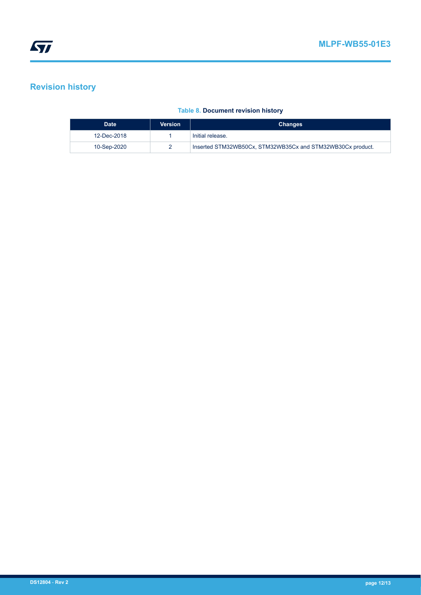## **Revision history**

#### **Table 8. Document revision history**

| <b>Date</b> | <b>Version</b> | <b>Changes</b>                                             |
|-------------|----------------|------------------------------------------------------------|
| 12-Dec-2018 |                | Initial release.                                           |
| 10-Sep-2020 |                | Inserted STM32WB50Cx, STM32WB35Cx and STM32WB30Cx product. |